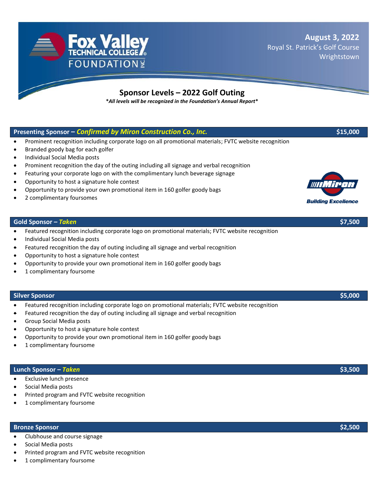**August 3, 2022** Royal St. Patrick's Golf Course Wrightstown

# **Sponsor Levels – 2022 Golf Outing**

**\****All levels will be recognized in the Foundation's Annual Report***\***

## **Presenting Sponsor –** *Confirmed by Miron Construction Co., Inc.* **\$15,000**

- Prominent recognition including corporate logo on all promotional materials; FVTC website recognition
- Branded goody bag for each golfer
- Individual Social Media posts
- Prominent recognition the day of the outing including all signage and verbal recognition
- Featuring your corporate logo on with the complimentary lunch beverage signage
- Opportunity to host a signature hole contest
- Opportunity to provide your own promotional item in 160 golfer goody bags
- 2 complimentary foursomes

#### **Gold Sponsor –** *Taken* **\$7,500**

- Featured recognition including corporate logo on promotional materials; FVTC website recognition
- Individual Social Media posts
- Featured recognition the day of outing including all signage and verbal recognition
- Opportunity to host a signature hole contest
- Opportunity to provide your own promotional item in 160 golfer goody bags
- 1 complimentary foursome

#### **Silver Sponsor \$5,000**

- Featured recognition including corporate logo on promotional materials; FVTC website recognition
- Featured recognition the day of outing including all signage and verbal recognition
- Group Social Media posts
- Opportunity to host a signature hole contest
- Opportunity to provide your own promotional item in 160 golfer goody bags
- 1 complimentary foursome

## **Lunch Sponsor –** *Taken* **\$3,500**

- **Exclusive lunch presence**
- Social Media posts
- Printed program and FVTC website recognition
- 1 complimentary foursome

# **Bronze Sponsor \$2,500**

- Clubhouse and course signage
- Social Media posts
- Printed program and FVTC website recognition
- 1 complimentary foursome